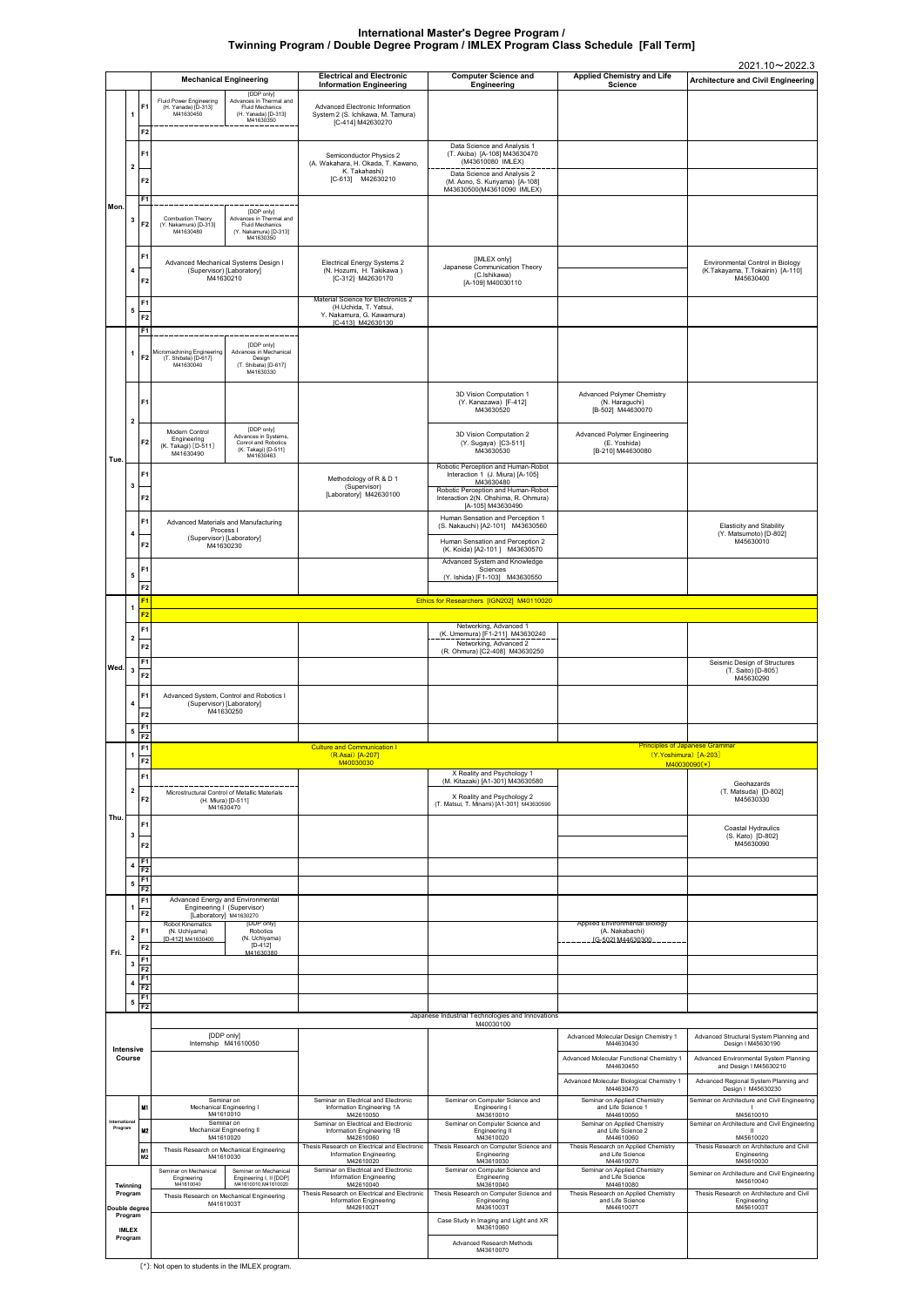〔\*〕: Not open to students in the IMLEX program.

|                         |                         |                                        |                                                                                                                                                                    | <b>Electrical and Electronic</b>                                                                              | <b>Computer Science and</b>                                                                                                                                                            | <b>Applied Chemistry and Life</b>                                           | 2021.10~2022.3                                                                    |
|-------------------------|-------------------------|----------------------------------------|--------------------------------------------------------------------------------------------------------------------------------------------------------------------|---------------------------------------------------------------------------------------------------------------|----------------------------------------------------------------------------------------------------------------------------------------------------------------------------------------|-----------------------------------------------------------------------------|-----------------------------------------------------------------------------------|
|                         |                         |                                        | <b>Mechanical Engineering</b><br>[DDP only]                                                                                                                        | <b>Information Engineering</b>                                                                                | Engineering                                                                                                                                                                            | <b>Science</b>                                                              | <b>Architecture and Civil Engineering</b>                                         |
|                         | 1                       | F <sub>1</sub><br>F <sub>2</sub>       | Advances in Thermal and<br><b>Fluid Power Engineering</b><br>(H. Yanada) [D-313]<br><b>Fluid Mechanics</b><br>M41630450<br>(H. Yanada) [D-313]<br>M41630350        | Advanced Electronic Information<br>System 2 (S. Ichikawa, M. Tamura)<br>[C-414] M42630270                     |                                                                                                                                                                                        |                                                                             |                                                                                   |
|                         | $\overline{2}$          | F <sub>1</sub>                         |                                                                                                                                                                    | Semiconductor Physics 2<br>(A. Wakahara, H. Okada, T. Kawano,<br>K. Takahashi)                                | Data Science and Analysis 1<br>(T. Akiba) [A-108] M43630470<br>(M43610080 IMLEX)                                                                                                       |                                                                             |                                                                                   |
|                         |                         | F <sub>2</sub><br>F <sub>1</sub>       |                                                                                                                                                                    | [C-613] M42630210                                                                                             | Data Science and Analysis 2<br>(M. Aono, S. Kuriyama) [A-108]<br>M43630500(M43610090 IMLEX)                                                                                            |                                                                             |                                                                                   |
| Mon.                    | 3                       | F <sub>2</sub>                         | [DDP only]<br>Advances in Thermal and<br><b>Combustion Theory</b><br>(Y. Nakamura) [D-313]<br>Fluid Mechanics<br>M41630480<br>(Y. Nakamura) [D-313]<br>M41630350   |                                                                                                               |                                                                                                                                                                                        |                                                                             |                                                                                   |
|                         | 4                       | F <sub>1</sub><br>F <sub>2</sub>       | Advanced Mechanical Systems Design I<br>(Supervisor) [Laboratory]<br>M41630210                                                                                     | <b>Electrical Energy Systems 2</b><br>(N. Hozumi, H. Takikawa)<br>[C-312] M42630170                           | [IMLEX only]<br>Japanese Communication Theory<br>(C.Ishikawa)<br>[A-109] M40030110                                                                                                     |                                                                             | Environmental Control in Biology<br>(K.Takayama, T.Tokairin) [A-110]<br>M45630400 |
|                         | 5                       | F <sub>1</sub><br>F2                   |                                                                                                                                                                    | Material Science for Electronics 2<br>(H.Uchida, T. Yatsui,<br>Y. Nakamura, G. Kawamura)<br>IC-4131 M42630130 |                                                                                                                                                                                        |                                                                             |                                                                                   |
|                         |                         | F <sub>1</sub>                         |                                                                                                                                                                    |                                                                                                               |                                                                                                                                                                                        |                                                                             |                                                                                   |
|                         | $\mathbf{1}$            | F <sub>2</sub>                         | [DDP only]<br>Micromachining Engineering<br>Advances in Mechanical<br>(T. Shibata) [D-617]<br>Design<br>M41630040<br>(T. Shibata) [D-617]<br>M41630330             |                                                                                                               |                                                                                                                                                                                        |                                                                             |                                                                                   |
|                         | $\overline{\mathbf{2}}$ | F <sub>1</sub>                         |                                                                                                                                                                    |                                                                                                               | 3D Vision Computation 1<br>(Y. Kanazawa) [F-412]<br>M43630520                                                                                                                          | Advanced Polymer Chemistry<br>(N. Haraguchi)<br>[B-502] M44630070           |                                                                                   |
| Tue.                    |                         | F <sub>2</sub>                         | [DDP only]<br>Modern Control<br>Advances in Systems,<br>Engineering<br>Conrol and Robotics<br>(K. Takagi) [D-511]<br>(K. Takagi) [D-511]<br>M41630490<br>M41630463 |                                                                                                               | 3D Vision Computation 2<br>(Y. Sugaya) [C3-511]<br>M43630530                                                                                                                           | Advanced Polymer Engineering<br>(E. Yoshida)<br>[B-210] M44630080           |                                                                                   |
|                         | 3                       | F <sub>1</sub><br>F <sub>2</sub>       |                                                                                                                                                                    | Methodology of R & D 1<br>(Supervisor)<br>[Laboratory] M42630100                                              | Robotic Perception and Human-Robot<br>Interaction 1 (J. Miura) [A-105]<br>M43630480<br>Robotic Perception and Human-Robot<br>Interaction 2(N. Ohshima, R. Ohmura)<br>[A-105] M43630490 |                                                                             |                                                                                   |
|                         |                         | F <sub>1</sub>                         | Advanced Materials and Manufacturing                                                                                                                               |                                                                                                               | Human Sensation and Perception 1<br>(S. Nakauchi) [A2-101] M43630560                                                                                                                   |                                                                             | <b>Elasticity and Stability</b>                                                   |
|                         | 4                       | F <sub>2</sub>                         | Process I<br>(Supervisor) [Laboratory]<br>M41630230                                                                                                                |                                                                                                               | Human Sensation and Perception 2                                                                                                                                                       |                                                                             | (Y. Matsumoto) [D-802]<br>M45630010                                               |
|                         |                         |                                        |                                                                                                                                                                    |                                                                                                               | (K. Koida) [A2-101] M43630570<br>Advanced System and Knowledge                                                                                                                         |                                                                             |                                                                                   |
|                         | 5                       | F <sub>1</sub>                         |                                                                                                                                                                    |                                                                                                               | Sciences<br>(Y. Ishida) [F1-103] M43630550                                                                                                                                             |                                                                             |                                                                                   |
|                         |                         | F <sub>2</sub><br>F <sub>1</sub>       |                                                                                                                                                                    |                                                                                                               | Ethics for Researchers [IGN202] M40110020                                                                                                                                              |                                                                             |                                                                                   |
|                         | 1                       | F <sub>2</sub>                         |                                                                                                                                                                    |                                                                                                               |                                                                                                                                                                                        |                                                                             |                                                                                   |
|                         | $\mathbf{2}$            | F <sub>1</sub>                         |                                                                                                                                                                    |                                                                                                               | Networking, Advanced 1<br>(K. Umemura) [F1-211] M43630240<br>Networking, Advanced 2                                                                                                    |                                                                             |                                                                                   |
|                         |                         | F <sub>2</sub><br>F <sub>1</sub>       |                                                                                                                                                                    |                                                                                                               | (R. Ohmura) [C2-408] M43630250                                                                                                                                                         |                                                                             | Seismic Design of Structures                                                      |
| Wed. $_3$               |                         | F <sub>2</sub>                         |                                                                                                                                                                    |                                                                                                               |                                                                                                                                                                                        |                                                                             | (T. Saito) [D-805]<br>M45630290                                                   |
|                         |                         | F1                                     | Advanced System, Control and Robotics I                                                                                                                            |                                                                                                               |                                                                                                                                                                                        |                                                                             |                                                                                   |
|                         | 4                       | F <sub>2</sub>                         | (Supervisor) [Laboratory]<br>M41630250                                                                                                                             |                                                                                                               |                                                                                                                                                                                        |                                                                             |                                                                                   |
|                         | 5                       | F1<br>F2                               |                                                                                                                                                                    |                                                                                                               |                                                                                                                                                                                        |                                                                             |                                                                                   |
|                         | 1                       | F1<br>F <sub>2</sub>                   |                                                                                                                                                                    | <b>Culture and Communication I</b><br>(R.Asai) [A-207]                                                        |                                                                                                                                                                                        | (Y.Yoshimura) [A-203]                                                       | <b>Principles of Japanese Grammar</b>                                             |
|                         |                         | F <sub>1</sub>                         |                                                                                                                                                                    | M40030030                                                                                                     | X Reality and Psychology 1<br>(M. Kitazaki) [A1-301] M43630580                                                                                                                         |                                                                             | M40030090[*]                                                                      |
|                         | 2                       | F <sub>2</sub>                         | Microstructural Control of Metallic Materials<br>(H. Miura) [D-511]                                                                                                |                                                                                                               | X Reality and Psychology 2                                                                                                                                                             |                                                                             | Geohazards<br>(T. Matsuda) [D-802]<br>M45630330                                   |
| Thu.                    |                         |                                        | M41630470                                                                                                                                                          |                                                                                                               | (T. Matsui, T. Minami) [A1-301] M43630590                                                                                                                                              |                                                                             |                                                                                   |
|                         | 3                       | F <sub>1</sub>                         |                                                                                                                                                                    |                                                                                                               |                                                                                                                                                                                        |                                                                             | Coastal Hydraulics<br>(S. Kato) [D-802]                                           |
|                         |                         | F <sub>2</sub>                         |                                                                                                                                                                    |                                                                                                               |                                                                                                                                                                                        |                                                                             | M45630090                                                                         |
|                         | 4                       | F1<br>F2<br>F1                         |                                                                                                                                                                    |                                                                                                               |                                                                                                                                                                                        |                                                                             |                                                                                   |
|                         | 5                       | F <sub>2</sub><br>F <sub>1</sub>       | Advanced Energy and Environmental                                                                                                                                  |                                                                                                               |                                                                                                                                                                                        |                                                                             |                                                                                   |
|                         | 1                       | F <sub>2</sub>                         | Engineering I (Supervisor)<br>[Laboratory] M41630270                                                                                                               |                                                                                                               |                                                                                                                                                                                        |                                                                             |                                                                                   |
|                         | 2                       | F <sub>1</sub>                         | <b>Robot Kinematics</b><br>[DDP only]<br>Robotics<br>(N. Uchiyama)<br>(N. Uchiyama)<br>[D-412] M41630400                                                           |                                                                                                               |                                                                                                                                                                                        | <b>Applied Environmental Biology</b><br>(A. Nakabachi)<br>IG-5021 M44630300 |                                                                                   |
| Fri.                    |                         | F <sub>2</sub>                         | $[D-412]$<br>M41630380                                                                                                                                             |                                                                                                               |                                                                                                                                                                                        |                                                                             |                                                                                   |
|                         | 3                       | F <sub>1</sub><br>F2<br>F <sub>1</sub> |                                                                                                                                                                    |                                                                                                               |                                                                                                                                                                                        |                                                                             |                                                                                   |
|                         | 4                       | F2<br>F <sub>1</sub>                   |                                                                                                                                                                    |                                                                                                               |                                                                                                                                                                                        |                                                                             |                                                                                   |
|                         | 5                       | F2                                     |                                                                                                                                                                    |                                                                                                               | Japanese Industrial Technologies and Innovations                                                                                                                                       |                                                                             |                                                                                   |
|                         |                         |                                        | [DDP only]                                                                                                                                                         |                                                                                                               | M40030100                                                                                                                                                                              | Advanced Molecular Design Chemistry 1                                       | Advanced Structural System Planning and                                           |
|                         | Intensive<br>Course     |                                        | Internship M41610050                                                                                                                                               |                                                                                                               |                                                                                                                                                                                        | M44630430                                                                   | Design I M45630190<br>Advanced Environmental System Planning                      |
|                         |                         |                                        |                                                                                                                                                                    |                                                                                                               |                                                                                                                                                                                        | Advanced Molecular Functional Chemistry 1<br>M44630450                      | and Design I M45630210                                                            |
|                         |                         |                                        |                                                                                                                                                                    |                                                                                                               |                                                                                                                                                                                        | Advanced Molecular Biological Chemistry 1<br>M44630470                      | Advanced Regional System Planning and<br>Design   M45630230                       |
|                         |                         | M1                                     | Seminar on<br>Mechanical Engineering I<br>M41610010                                                                                                                | Seminar on Electrical and Electronic<br>Information Engineering 1A<br>M42610050                               | Seminar on Computer Science and<br>Engineering I<br>M43610010                                                                                                                          | Seminar on Applied Chemistry<br>and Life Science 1<br>M44610050             | Seminar on Architecture and Civil Engineering<br>M45610010                        |
| Internationa<br>Program |                         | M <sub>2</sub>                         | Seminar on<br>Mechanical Engineering II<br>M41610020                                                                                                               | Seminar on Electrical and Electronic<br>Information Engineering 1B<br>M42610060                               | Seminar on Computer Science and<br><b>Engineering II</b><br>M43610020                                                                                                                  | Seminar on Applied Chemistry<br>and Life Science 2<br>M44610060             | Seminar on Architecture and Civil Engineering<br>M45610020                        |
|                         |                         | M1<br>M2                               | Thesis Research on Mechanical Engineering<br>M41610030                                                                                                             | Thesis Research on Electrical and Electronic<br>Information Engineering                                       | Thesis Research on Computer Science and<br>Engineering                                                                                                                                 | Thesis Research on Applied Chemistry<br>and Life Science                    | Thesis Research on Architecture and Civil<br>Engineering                          |
|                         |                         |                                        | Seminar on Mechanical<br>Seminar on Mechanical                                                                                                                     | M42610020<br>Seminar on Electrical and Electronic<br><b>Information Engineering</b>                           | M43610030<br>Seminar on Computer Science and<br>Engineering                                                                                                                            | M44610070<br>Seminar on Applied Chemistry<br>and Life Science               | M45610030<br>Seminar on Architecture and Civil Engineering                        |
|                         | Twinning<br>Program     |                                        | Engineering I, II [DDP]<br>Engineering<br>M41610040<br>M41610010, M41610020<br>Thesis Research on Mechanical Engineering                                           | M42610040<br>Thesis Research on Electrical and Electronic                                                     | M43610040<br>Thesis Research on Computer Science and                                                                                                                                   | M44610080<br>Thesis Research on Applied Chemistry                           | M45610040<br>Thesis Research on Architecture and Civil                            |
| Double degree           | Program                 |                                        | M4161003T                                                                                                                                                          | Information Engineering<br>M4261002T                                                                          | Engineering<br>M4361003T                                                                                                                                                               | and Life Science<br>M4461007T                                               | Engineering<br>M4561003T                                                          |
|                         | <b>IMLEX</b>            |                                        |                                                                                                                                                                    |                                                                                                               | Case Study in Imaging and Light and XR<br>M43610060                                                                                                                                    |                                                                             |                                                                                   |
| Program                 |                         |                                        |                                                                                                                                                                    |                                                                                                               | <b>Advanced Research Methods</b><br>M43610070                                                                                                                                          |                                                                             |                                                                                   |

## **International Master's Degree Program / Twinning Program / Double Degree Program / IMLEX Program Class Schedule [Fall Term]**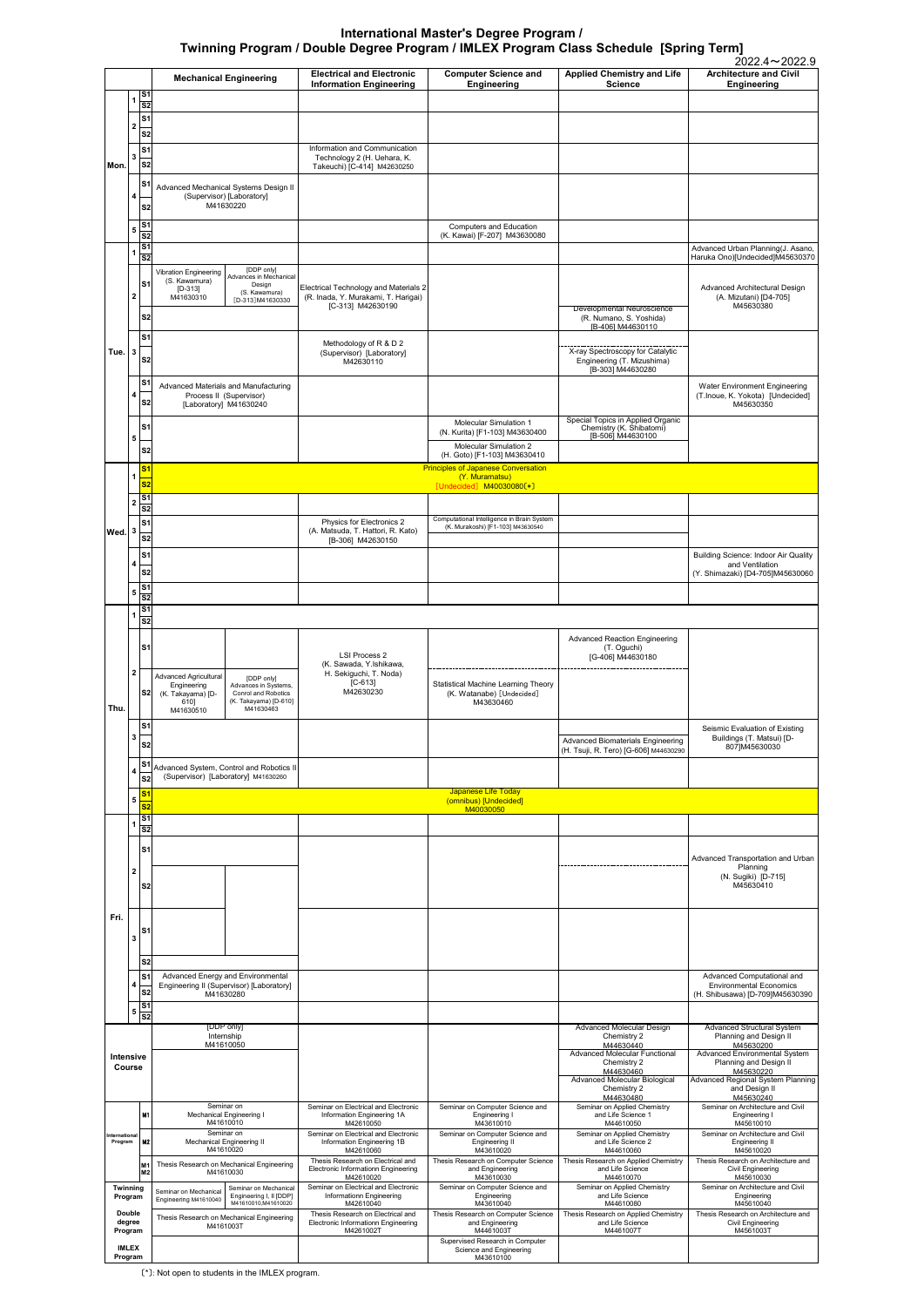〔\*〕: Not open to students in the IMLEX program.

| 4                        |                                                                           | Engineering II (Supervisor) [Laboratory]               |                                     |                                      |                                                  |                                                    | <b>Environmental Economics</b>                 |
|--------------------------|---------------------------------------------------------------------------|--------------------------------------------------------|-------------------------------------|--------------------------------------|--------------------------------------------------|----------------------------------------------------|------------------------------------------------|
|                          | S <sub>2</sub>                                                            | M41630280                                              |                                     |                                      |                                                  |                                                    | (H. Shibusawa) [D-709]M45630390                |
| 5                        | S <sub>1</sub><br>$\overline{\overline{\mathbf{s}}\overline{\mathbf{z}}}$ |                                                        |                                     |                                      |                                                  |                                                    |                                                |
|                          |                                                                           | [DDP only]                                             |                                     |                                      |                                                  | Advanced Molecular Design                          | Advanced Structural System                     |
|                          |                                                                           | Internship                                             |                                     |                                      |                                                  | Chemistry 2                                        | Planning and Design II                         |
|                          |                                                                           | M41610050                                              |                                     |                                      |                                                  | M44630440                                          | M45630200                                      |
| Intensive                |                                                                           |                                                        |                                     |                                      |                                                  | Advanced Molecular Functional                      | <b>Advanced Environmental System</b>           |
| Course                   |                                                                           |                                                        |                                     |                                      |                                                  | Chemistry 2                                        | Planning and Design II                         |
|                          |                                                                           |                                                        |                                     |                                      |                                                  | M44630460                                          | M45630220                                      |
|                          |                                                                           |                                                        |                                     |                                      |                                                  | Advanced Molecular Biological                      | Advanced Regional System Planning              |
|                          |                                                                           |                                                        |                                     |                                      |                                                  | Chemistry 2                                        | and Design II                                  |
|                          |                                                                           |                                                        |                                     | Seminar on Electrical and Electronic |                                                  | M44630480                                          | M45630240<br>Seminar on Architecture and Civil |
|                          | <b>M1</b>                                                                 | Seminar on<br>Mechanical Engineering I<br>M41610010    |                                     | Information Engineering 1A           | Seminar on Computer Science and<br>Engineering I | Seminar on Applied Chemistry<br>and Life Science 1 | Engineering I                                  |
|                          |                                                                           |                                                        |                                     | M42610050                            | M43610010                                        | M44610050                                          | M45610010                                      |
|                          |                                                                           | Seminar on                                             |                                     | Seminar on Electrical and Electronic | Seminar on Computer Science and                  | Seminar on Applied Chemistry                       | Seminar on Architecture and Civil              |
| International<br>Program | <b>M2</b>                                                                 | <b>Mechanical Engineering II</b>                       |                                     | Information Engineering 1B           | Engineering II                                   | and Life Science 2                                 | Engineering II                                 |
|                          |                                                                           | M41610020                                              |                                     | M42610060                            | M43610020                                        | M44610060                                          | M45610020                                      |
|                          | M <sub>1</sub><br>M <sub>2</sub>                                          |                                                        |                                     | Thesis Research on Electrical and    | Thesis Research on Computer Science              | Thesis Research on Applied Chemistry               | Thesis Research on Architecture and            |
|                          |                                                                           | Thesis Research on Mechanical Engineering<br>M41610030 | Electronic Informationn Engineering | and Engineering                      | and Life Science                                 | <b>Civil Engineering</b>                           |                                                |
|                          |                                                                           |                                                        |                                     | M42610020                            | M43610030                                        | M44610070                                          | M45610030                                      |
| Twinnina                 |                                                                           | Seminar on Mechanical                                  | Seminar on Mechanical               | Seminar on Electrical and Electronic | Seminar on Computer Science and                  | Seminar on Applied Chemistry                       | Seminar on Architecture and Civil              |
| Program                  |                                                                           | Engineering M41610040                                  | Engineering I, II [DDP]             | Informationn Engineering             | Engineering                                      | and Life Science                                   | Engineering                                    |
|                          |                                                                           |                                                        | M41610010.M41610020                 | M42610040                            | M43610040                                        | M44610080                                          | M45610040                                      |
| <b>Double</b>            |                                                                           | Thesis Research on Mechanical Engineering              |                                     | Thesis Research on Electrical and    | Thesis Research on Computer Science              | Thesis Research on Applied Chemistry               | Thesis Research on Architecture and            |
| degree                   |                                                                           | M4161003T                                              |                                     | Electronic Informationn Engineering  | and Engineering                                  | and Life Science                                   | Civil Engineering                              |
| Program                  |                                                                           |                                                        |                                     | M4261002T                            | M4461003T                                        | M4461007T                                          | M4561003T                                      |
|                          |                                                                           |                                                        |                                     |                                      | Supervised Research in Computer                  |                                                    |                                                |
| <b>IMLEX</b>             |                                                                           |                                                        |                                     |                                      | Science and Engineering                          |                                                    |                                                |
| Program                  |                                                                           |                                                        |                                     |                                      | M43610100                                        |                                                    |                                                |

|      |                                        |                                                     |                                                                                                     |                                                                              |                                                               |                                                                                    | 2022.4~2022.9                                                     |
|------|----------------------------------------|-----------------------------------------------------|-----------------------------------------------------------------------------------------------------|------------------------------------------------------------------------------|---------------------------------------------------------------|------------------------------------------------------------------------------------|-------------------------------------------------------------------|
|      |                                        |                                                     | <b>Mechanical Engineering</b>                                                                       | <b>Electrical and Electronic</b><br><b>Information Engineering</b>           | <b>Computer Science and</b><br>Engineering                    | <b>Applied Chemistry and Life</b><br><b>Science</b>                                | <b>Architecture and Civil</b><br>Engineering                      |
|      | 1                                      | S <sub>1</sub><br>$\overline{\textbf{s2}}$          |                                                                                                     |                                                                              |                                                               |                                                                                    |                                                                   |
|      | 2                                      | S <sub>1</sub>                                      |                                                                                                     |                                                                              |                                                               |                                                                                    |                                                                   |
| Mon. |                                        | S <sub>2</sub><br>S <sub>1</sub>                    |                                                                                                     | Information and Communication                                                |                                                               |                                                                                    |                                                                   |
|      | 3                                      | $\overline{\text{s}}$                               |                                                                                                     | Technology 2 (H. Uehara, K.<br>Takeuchi) [C-414] M42630250                   |                                                               |                                                                                    |                                                                   |
|      |                                        | S <sub>1</sub>                                      | Advanced Mechanical Systems Design II                                                               |                                                                              |                                                               |                                                                                    |                                                                   |
|      | 4                                      | S <sub>2</sub>                                      | (Supervisor) [Laboratory]<br>M41630220                                                              |                                                                              |                                                               |                                                                                    |                                                                   |
|      | 5                                      | S <sub>1</sub><br>$\overline{\text{S2}}$            |                                                                                                     |                                                                              | Computers and Education                                       |                                                                                    |                                                                   |
|      | 1                                      | S <sub>1</sub>                                      |                                                                                                     |                                                                              | (K. Kawai) [F-207] M43630080                                  |                                                                                    | Advanced Urban Planning(J. Asano,                                 |
|      |                                        | $rac{1}{s^2}$                                       | [DDP only]<br>Vibration Engineering                                                                 |                                                                              |                                                               |                                                                                    | Haruka Ono)[Undecided]M45630370                                   |
|      | $\mathbf{2}$                           | S <sub>1</sub>                                      | Advances in Mechanical<br>(S. Kawamura)<br>Design<br>$[D-313]$<br>(S. Kawamura)                     | Electrical Technology and Materials 2<br>(R. Inada, Y. Murakami, T. Harigai) |                                                               |                                                                                    | Advanced Architectural Design                                     |
|      |                                        | S <sub>2</sub>                                      | M41630310<br>[D-313]M41630330                                                                       | [C-313] M42630190                                                            |                                                               | <b>Developmental Neuroscience</b>                                                  | (A. Mizutani) [D4-705]<br>M45630380                               |
|      |                                        | S <sub>1</sub>                                      |                                                                                                     |                                                                              |                                                               | (R. Numano, S. Yoshida)<br>[B-406] M44630110                                       |                                                                   |
| Tue. | $\mathbf{3}$                           |                                                     |                                                                                                     | Methodology of R & D 2<br>(Supervisor) [Laboratory]                          |                                                               | X-ray Spectroscopy for Catalytic                                                   |                                                                   |
|      |                                        | S <sub>2</sub>                                      |                                                                                                     | M42630110                                                                    |                                                               | Engineering (T. Mizushima)<br>[B-303] M44630280                                    |                                                                   |
|      | 4                                      | S1                                                  | Advanced Materials and Manufacturing<br>Process II (Supervisor)                                     |                                                                              |                                                               |                                                                                    | Water Environment Engineering<br>(T.Inoue, K. Yokota) [Undecided] |
|      |                                        | S <sub>2</sub>                                      | [Laboratory] M41630240                                                                              |                                                                              |                                                               |                                                                                    | M45630350                                                         |
|      | 5                                      | S <sub>1</sub>                                      |                                                                                                     |                                                                              | Molecular Simulation 1<br>(N. Kurita) [F1-103] M43630400      | Special Topics in Applied Organic<br>Chemistry (K. Shibatomi)<br>[B-506] M44630100 |                                                                   |
|      |                                        | S <sub>2</sub>                                      |                                                                                                     |                                                                              | <b>Molecular Simulation 2</b><br>(H. Goto) [F1-103] M43630410 |                                                                                    |                                                                   |
|      | $\mathbf{1}$                           | s <sub>1</sub><br>$\overline{\textbf{S2}}$          |                                                                                                     |                                                                              | <b>Principles of Japanese Conversation</b><br>(Y. Muramatsu)  |                                                                                    |                                                                   |
|      | $\mathbf 2$                            | S <sub>1</sub>                                      |                                                                                                     |                                                                              | [Undecided] M40030080[*]                                      |                                                                                    |                                                                   |
|      |                                        | $\overline{\text{S2}}$<br>S <sub>1</sub>            |                                                                                                     | Physics for Electronics 2                                                    | Computational Intelligence in Brain System                    |                                                                                    |                                                                   |
| Wed. | 3                                      | S <sub>2</sub>                                      |                                                                                                     | (A. Matsuda, T. Hattori, R. Kato)<br>[B-306] M42630150                       | (K. Murakoshi) [F1-103] M43630540                             |                                                                                    |                                                                   |
|      | 4                                      | S <sub>1</sub>                                      |                                                                                                     |                                                                              |                                                               |                                                                                    | Building Science: Indoor Air Quality<br>and Ventilation           |
|      |                                        | S <sub>2</sub><br>S <sub>1</sub>                    |                                                                                                     |                                                                              |                                                               |                                                                                    | (Y. Shimazaki) [D4-705]M45630060                                  |
|      | 5                                      | $\overline{\text{S2}}$                              |                                                                                                     |                                                                              |                                                               |                                                                                    |                                                                   |
|      | 1                                      | S <sub>1</sub><br>$\overline{\text{S2}}$            |                                                                                                     |                                                                              |                                                               |                                                                                    |                                                                   |
|      |                                        | S <sub>1</sub>                                      |                                                                                                     |                                                                              |                                                               | <b>Advanced Reaction Engineering</b><br>(T. Oguchi)                                |                                                                   |
|      |                                        |                                                     |                                                                                                     | <b>LSI Process 2</b><br>(K. Sawada, Y.Ishikawa,                              |                                                               | [G-406] M44630180                                                                  |                                                                   |
|      | 2                                      |                                                     | <b>Advanced Agricultural</b><br>[DDP only]<br>Engineering<br>Advances in Systems,                   | H. Sekiguchi, T. Noda)<br>$[C-613]$<br>M42630230                             | <b>Statistical Machine Learning Theory</b>                    |                                                                                    |                                                                   |
| Thu. |                                        | S <sub>2</sub>                                      | (K. Takayama) [D-<br>Conrol and Robotics<br>610]<br>(K. Takayama) [D-610]<br>M41630463<br>M41630510 |                                                                              | (K. Watanabe) [Undecided]<br>M43630460                        |                                                                                    |                                                                   |
|      |                                        | S <sub>1</sub>                                      |                                                                                                     |                                                                              |                                                               |                                                                                    | Seismic Evaluation of Existing                                    |
|      | 3                                      | S <sub>2</sub>                                      |                                                                                                     |                                                                              |                                                               | <b>Advanced Biomaterials Engineering</b><br>(H. Tsuji, R. Tero) [G-606] M44630290  | Buildings (T. Matsui) [D-<br>807]M45630030                        |
|      | 4                                      | S <sub>1</sub>                                      | Advanced System, Control and Robotics II                                                            |                                                                              |                                                               |                                                                                    |                                                                   |
|      |                                        | S <sub>2</sub>                                      | (Supervisor) [Laboratory] M41630260                                                                 |                                                                              | Japanese Life Today                                           |                                                                                    |                                                                   |
|      | 5 <mark>S1</mark><br>5 <mark>S2</mark> |                                                     |                                                                                                     |                                                                              | (omnibus) [Undecided]<br>M40030050                            |                                                                                    |                                                                   |
|      | 1                                      | $\overline{\mathbf{s}}$ 1<br>$\overline{\text{S2}}$ |                                                                                                     |                                                                              |                                                               |                                                                                    |                                                                   |
|      |                                        | S <sub>1</sub>                                      |                                                                                                     |                                                                              |                                                               |                                                                                    | Advanced Transportation and Urban                                 |
|      | 2                                      |                                                     |                                                                                                     |                                                                              |                                                               |                                                                                    | Planning<br>(N. Sugiki) [D-715]                                   |
|      |                                        | S <sub>2</sub>                                      |                                                                                                     |                                                                              |                                                               |                                                                                    | M45630410                                                         |
| Fri. |                                        |                                                     |                                                                                                     |                                                                              |                                                               |                                                                                    |                                                                   |
|      | 3                                      | S <sub>1</sub>                                      |                                                                                                     |                                                                              |                                                               |                                                                                    |                                                                   |
|      |                                        | S <sub>2</sub>                                      |                                                                                                     |                                                                              |                                                               |                                                                                    |                                                                   |
|      |                                        | S <sub>1</sub>                                      | Advanced Energy and Environmental<br>Engineering II (Supervisor) II aboratoryl                      |                                                                              |                                                               |                                                                                    | Advanced Computational and<br><b>Environmental Economics</b>      |

## **International Master's Degree Program / Twinning Program / Double Degree Program / IMLEX Program Class Schedule [Spring Term]**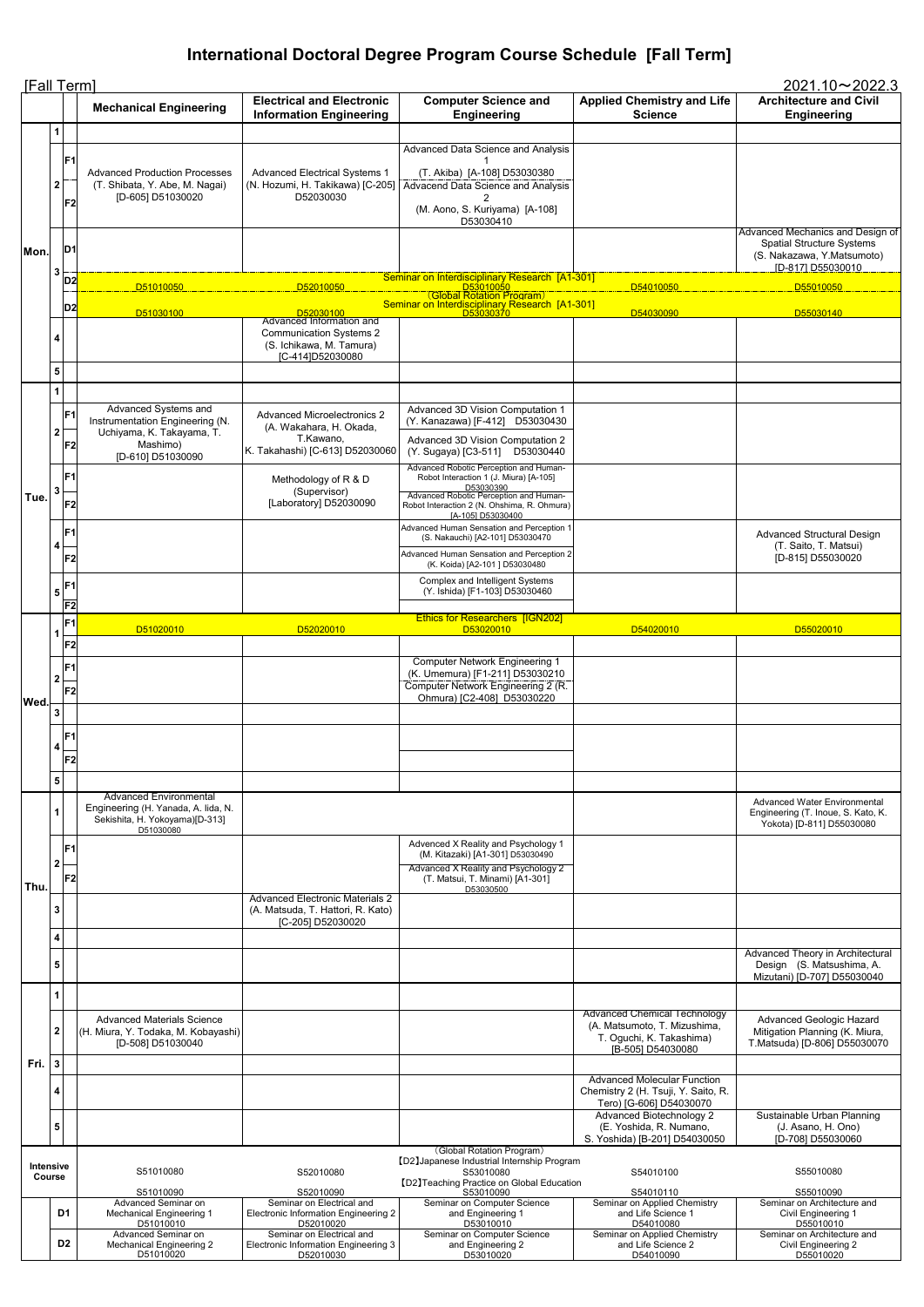| [Fall Term]<br>$2021.10 \rightarrow 2022.3$ |                                |                                                    |                                                                                                                     |                                                                                                  |                                                                                                                                                                                                             |                                                     |                                                                                                                          |
|---------------------------------------------|--------------------------------|----------------------------------------------------|---------------------------------------------------------------------------------------------------------------------|--------------------------------------------------------------------------------------------------|-------------------------------------------------------------------------------------------------------------------------------------------------------------------------------------------------------------|-----------------------------------------------------|--------------------------------------------------------------------------------------------------------------------------|
|                                             |                                |                                                    | <b>Mechanical Engineering</b>                                                                                       | <b>Electrical and Electronic</b><br><b>Information Engineering</b>                               | <b>Computer Science and</b><br><b>Engineering</b>                                                                                                                                                           | <b>Applied Chemistry and Life</b><br><b>Science</b> | <b>Architecture and Civil</b><br><b>Engineering</b>                                                                      |
|                                             | 1<br>2 <sub>1</sub>            | F <sub>1</sub>                                     | <b>Advanced Production Processes</b><br>(T. Shibata, Y. Abe, M. Nagai)<br>[D-605] D51030020                         | <b>Advanced Electrical Systems 1</b><br>(N. Hozumi, H. Takikawa) [C-205]<br>D52030030            | Advanced Data Science and Analysis<br>(T. Akiba) [A-108] D53030380<br>Advacend Data Science and Analysis                                                                                                    |                                                     |                                                                                                                          |
| Mon.                                        | 3                              | F <sub>2</sub><br>D <sub>1</sub>                   |                                                                                                                     |                                                                                                  | (M. Aono, S. Kuriyama) [A-108]<br>D53030410                                                                                                                                                                 |                                                     | Advanced Mechanics and Design of<br><b>Spatial Structure Systems</b><br>(S. Nakazawa, Y. Matsumoto)<br>[D-817] D55030010 |
|                                             |                                | D <sub>2</sub>                                     | D51010050                                                                                                           | D52010050                                                                                        | Seminar on Interdisciplinary Research [A1-301]<br><u>_______D53010050________</u><br>(Global Rotation P <u>r</u> ogram)<br>Seminar on Interdisciplinary Research [A1-301]                                   | D54010050                                           | D55010050                                                                                                                |
|                                             |                                | D <sub>2</sub>                                     | D51030100                                                                                                           | <u>New D52030100</u><br>Advanced Information and                                                 | D53030370                                                                                                                                                                                                   | D54030090                                           | D55030140                                                                                                                |
|                                             | 4<br>5                         |                                                    |                                                                                                                     | <b>Communication Systems 2</b><br>(S. Ichikawa, M. Tamura)<br>[C-414]D52030080                   |                                                                                                                                                                                                             |                                                     |                                                                                                                          |
|                                             | $\mathbf{1}$<br>2 <sup>1</sup> | F <sub>1</sub>                                     | Advanced Systems and<br>Instrumentation Engineering (N.<br>Uchiyama, K. Takayama, T.                                | <b>Advanced Microelectronics 2</b><br>(A. Wakahara, H. Okada,                                    | Advanced 3D Vision Computation 1<br>(Y. Kanazawa) [F-412] D53030430                                                                                                                                         |                                                     |                                                                                                                          |
|                                             |                                | F2                                                 | Mashimo)<br>[D-610] D51030090                                                                                       | T.Kawano,<br>K. Takahashi) [C-613] D52030060                                                     | Advanced 3D Vision Computation 2<br>(Y. Sugaya) [C3-511]<br>D53030440                                                                                                                                       |                                                     |                                                                                                                          |
| Tue.                                        | 3                              | F <sub>1</sub><br>F <sub>2</sub>                   |                                                                                                                     | Methodology of R & D<br>(Supervisor)<br>[Laboratory] D52030090                                   | Advanced Robotic Perception and Human-<br>Robot Interaction 1 (J. Miura) [A-105]<br>D53030390<br>Advanced Robotic Perception and Human-<br>Robot Interaction 2 (N. Ohshima, R. Ohmura)<br>[A-105] D53030400 |                                                     |                                                                                                                          |
|                                             | 4                              | F <sub>1</sub><br>F <sub>2</sub>                   |                                                                                                                     |                                                                                                  | Advanced Human Sensation and Perception 1<br>(S. Nakauchi) [A2-101] D53030470<br>Advanced Human Sensation and Perception 2<br>(K. Koida) [A2-101] D53030480                                                 |                                                     | <b>Advanced Structural Design</b><br>(T. Saito, T. Matsui)<br>[D-815] D55030020                                          |
|                                             |                                | $\mathbf{1}_5$ $\mathsf{F1!}$<br>F <sub>2</sub>    |                                                                                                                     |                                                                                                  | <b>Complex and Intelligent Systems</b><br>(Y. Ishida) [F1-103] D53030460                                                                                                                                    |                                                     |                                                                                                                          |
|                                             |                                | F <sub>1</sub>                                     |                                                                                                                     |                                                                                                  | <b>Ethics for Researchers [IGN202]</b>                                                                                                                                                                      |                                                     |                                                                                                                          |
|                                             |                                |                                                    | D51020010                                                                                                           | D52020010                                                                                        | D53020010                                                                                                                                                                                                   | D54020010                                           | D55020010                                                                                                                |
|                                             | 2 <sup>1</sup>                 | F <sub>2</sub><br>F <sub>1</sub><br>F <sub>2</sub> |                                                                                                                     |                                                                                                  | <b>Computer Network Engineering 1</b><br>(K. Umemura) [F1-211] D53030210<br>Computer Network Engineering 2 (R.<br>Ohmura) [C2-408] D53030220                                                                |                                                     |                                                                                                                          |
| Wed.                                        | $\mathbf{3}$                   |                                                    |                                                                                                                     |                                                                                                  |                                                                                                                                                                                                             |                                                     |                                                                                                                          |
|                                             | $\overline{4}$                 | F <sub>1</sub><br>F <sub>2</sub>                   |                                                                                                                     |                                                                                                  |                                                                                                                                                                                                             |                                                     |                                                                                                                          |
|                                             | $\overline{\mathbf{5}}$        |                                                    |                                                                                                                     |                                                                                                  |                                                                                                                                                                                                             |                                                     |                                                                                                                          |
|                                             |                                |                                                    | <b>Advanced Environmental</b><br>Engineering (H. Yanada, A. lida, N.<br>Sekishita, H. Yokoyama)[D-313]<br>D51030080 |                                                                                                  |                                                                                                                                                                                                             |                                                     | <b>Advanced Water Environmental</b><br>Engineering (T. Inoue, S. Kato, K.<br>Yokota) [D-811] D55030080                   |
| Thu.                                        | 2 <sub>1</sub>                 | F <sub>1</sub><br>F <sub>2</sub>                   |                                                                                                                     |                                                                                                  | Advenced X Reality and Psychology 1<br>(M. Kitazaki) [A1-301] D53030490<br>Advanced X Reality and Psychology 2<br>(T. Matsui, T. Minami) [A1-301]<br>D53030500                                              |                                                     |                                                                                                                          |
|                                             | 3<br>4                         |                                                    |                                                                                                                     | <b>Advanced Electronic Materials 2</b><br>(A. Matsuda, T. Hattori, R. Kato)<br>[C-205] D52030020 |                                                                                                                                                                                                             |                                                     |                                                                                                                          |
|                                             | 5                              |                                                    |                                                                                                                     |                                                                                                  |                                                                                                                                                                                                             |                                                     | Advanced Theory in Architectural<br>Design (S. Matsushima, A.<br>Mizutani) [D-707] D55030040                             |

|      |                            | Advanced Materials Science<br> (H. Miura, Y. Todaka, M. Kobayashi) <br>[D-508] D51030040 |                                                                                       |                                                                                                        | Advanced Chemical Technology<br>(A. Matsumoto, T. Mizushima,<br>T. Oguchi, K. Takashima)<br>[B-505] D54030080 | Advanced Geologic Hazard<br>Mitigation Planning (K. Miura,<br>T.Matsuda) [D-806] D55030070 |
|------|----------------------------|------------------------------------------------------------------------------------------|---------------------------------------------------------------------------------------|--------------------------------------------------------------------------------------------------------|---------------------------------------------------------------------------------------------------------------|--------------------------------------------------------------------------------------------|
| Fri. |                            |                                                                                          |                                                                                       |                                                                                                        |                                                                                                               |                                                                                            |
|      | 4                          |                                                                                          |                                                                                       |                                                                                                        | Advanced Molecular Function<br>Chemistry 2 (H. Tsuji, Y. Saito, R.<br>Tero) [G-606] D54030070                 |                                                                                            |
|      |                            |                                                                                          |                                                                                       |                                                                                                        | Advanced Biotechnology 2                                                                                      | Sustainable Urban Planning                                                                 |
|      | 5                          |                                                                                          |                                                                                       |                                                                                                        | (E. Yoshida, R. Numano,<br>S. Yoshida) [B-201] D54030050                                                      | (J. Asano, H. Ono)<br>[D-708] D55030060                                                    |
|      |                            |                                                                                          |                                                                                       | (Global Rotation Program)                                                                              |                                                                                                               |                                                                                            |
|      | <b>Intensive</b><br>Course | S51010080                                                                                | S52010080                                                                             | [D2] Japanese Industrial Internship Program<br>S53010080<br>[D2] Teaching Practice on Global Education | S54010100                                                                                                     | S55010080                                                                                  |
|      |                            | S51010090                                                                                | S52010090                                                                             | S53010090                                                                                              | S54010110                                                                                                     | S55010090                                                                                  |
|      | D <sub>1</sub>             | Advanced Seminar on<br>Mechanical Engineering 1<br>D51010010                             | Seminar on Electrical and<br><b>Electronic Information Engineering 2</b><br>D52010020 | Seminar on Computer Science<br>and Engineering 1<br>D53010010                                          | Seminar on Applied Chemistry<br>and Life Science 1<br>D54010080                                               | Seminar on Architecture and<br>Civil Engineering 1<br>D55010010                            |
|      | D <sub>2</sub>             | Advanced Seminar on<br>Mechanical Engineering 2<br>D51010020                             | Seminar on Electrical and<br>Electronic Information Engineering 3<br>D52010030        | Seminar on Computer Science<br>and Engineering 2<br>D53010020                                          | Seminar on Applied Chemistry<br>and Life Science 2<br>D54010090                                               | Seminar on Architecture and<br>Civil Engineering 2<br>D55010020                            |

## **International Doctoral Degree Program Course Schedule [Fall Term]**